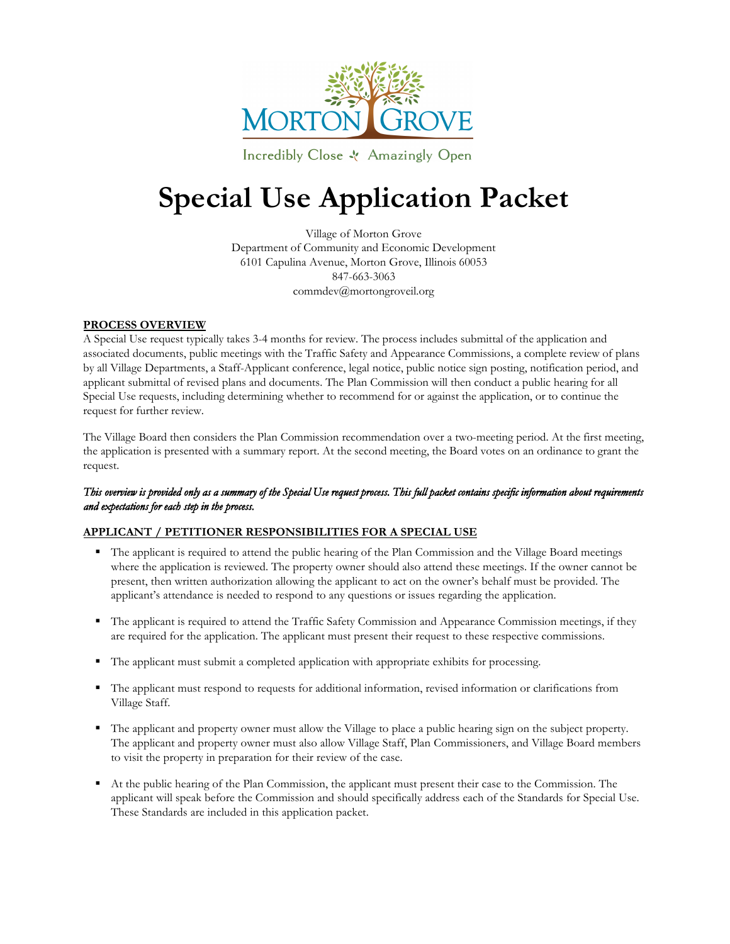

Incredibly Close & Amazingly Open

# **Special Use Application Packet**

Village of Morton Grove Department of Community and Economic Development 6101 Capulina Avenue, Morton Grove, Illinois 60053 847-663-3063 commdev@mortongroveil.org

#### **PROCESS OVERVIEW**

A Special Use request typically takes 3-4 months for review. The process includes submittal of the application and associated documents, public meetings with the Traffic Safety and Appearance Commissions, a complete review of plans by all Village Departments, a Staff-Applicant conference, legal notice, public notice sign posting, notification period, and applicant submittal of revised plans and documents. The Plan Commission will then conduct a public hearing for all Special Use requests, including determining whether to recommend for or against the application, or to continue the request for further review.

The Village Board then considers the Plan Commission recommendation over a two-meeting period. At the first meeting, the application is presented with a summary report. At the second meeting, the Board votes on an ordinance to grant the request.

#### *This overview is provided only as a summary of the Special Use request process. This full packet contains specific information about requirements and expectations for each step in the process.*

#### **APPLICANT / PETITIONER RESPONSIBILITIES FOR A SPECIAL USE**

- The applicant is required to attend the public hearing of the Plan Commission and the Village Board meetings where the application is reviewed. The property owner should also attend these meetings. If the owner cannot be present, then written authorization allowing the applicant to act on the owner's behalf must be provided. The applicant's attendance is needed to respond to any questions or issues regarding the application.
- The applicant is required to attend the Traffic Safety Commission and Appearance Commission meetings, if they are required for the application. The applicant must present their request to these respective commissions.
- The applicant must submit a completed application with appropriate exhibits for processing.
- The applicant must respond to requests for additional information, revised information or clarifications from Village Staff.
- The applicant and property owner must allow the Village to place a public hearing sign on the subject property. The applicant and property owner must also allow Village Staff, Plan Commissioners, and Village Board members to visit the property in preparation for their review of the case.
- At the public hearing of the Plan Commission, the applicant must present their case to the Commission. The applicant will speak before the Commission and should specifically address each of the Standards for Special Use. These Standards are included in this application packet.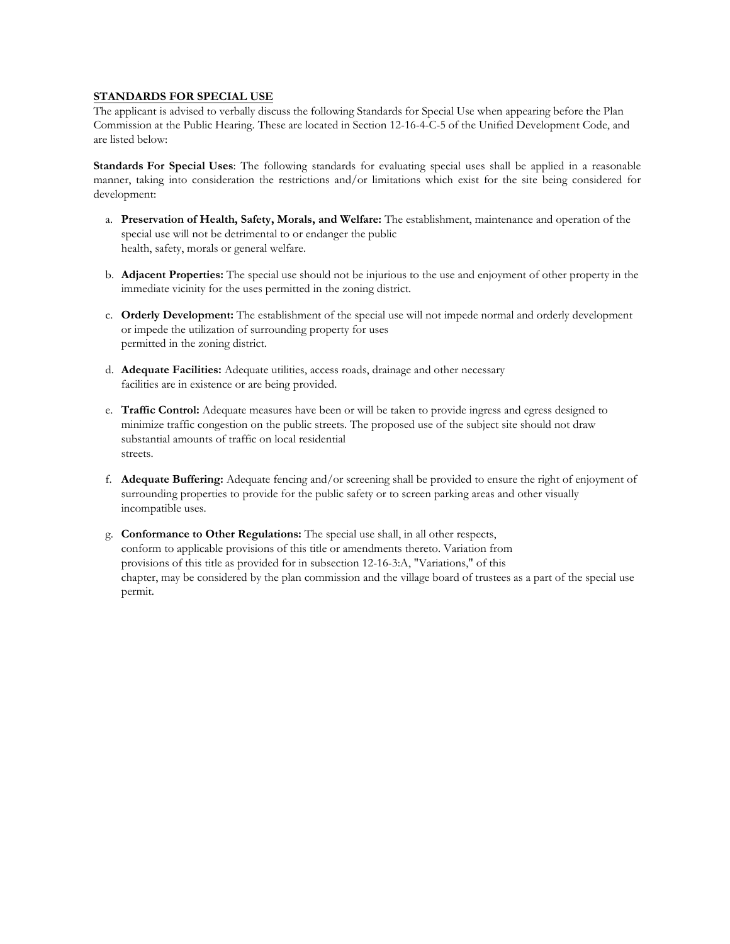#### **STANDARDS FOR SPECIAL USE**

The applicant is advised to verbally discuss the following Standards for Special Use when appearing before the Plan Commission at the Public Hearing. These are located in Section 12-16-4-C-5 of the Unified Development Code, and are listed below:

**Standards For Special Uses**: The following standards for evaluating special uses shall be applied in a reasonable manner, taking into consideration the restrictions and/or limitations which exist for the site being considered for development:

- a. **Preservation of Health, Safety, Morals, and Welfare:** The establishment, maintenance and operation of the special use will not be detrimental to or endanger the public health, safety, morals or general welfare.
- b. **Adjacent Properties:** The special use should not be injurious to the use and enjoyment of other property in the immediate vicinity for the uses permitted in the zoning district.
- c. **Orderly Development:** The establishment of the special use will not impede normal and orderly development or impede the utilization of surrounding property for uses permitted in the zoning district.
- d. **Adequate Facilities:** Adequate utilities, access roads, drainage and other necessary facilities are in existence or are being provided.
- e. **Traffic Control:** Adequate measures have been or will be taken to provide ingress and egress designed to minimize traffic congestion on the public streets. The proposed use of the subject site should not draw substantial amounts of traffic on local residential streets.
- f. **Adequate Buffering:** Adequate fencing and/or screening shall be provided to ensure the right of enjoyment of surrounding properties to provide for the public safety or to screen parking areas and other visually incompatible uses.
- g. **Conformance to Other Regulations:** The special use shall, in all other respects, conform to applicable provisions of this title or amendments thereto. Variation from provisions of this title as provided for in subsection 12-16-3:A, "Variations," of this chapter, may be considered by the plan commission and the village board of trustees as a part of the special use permit.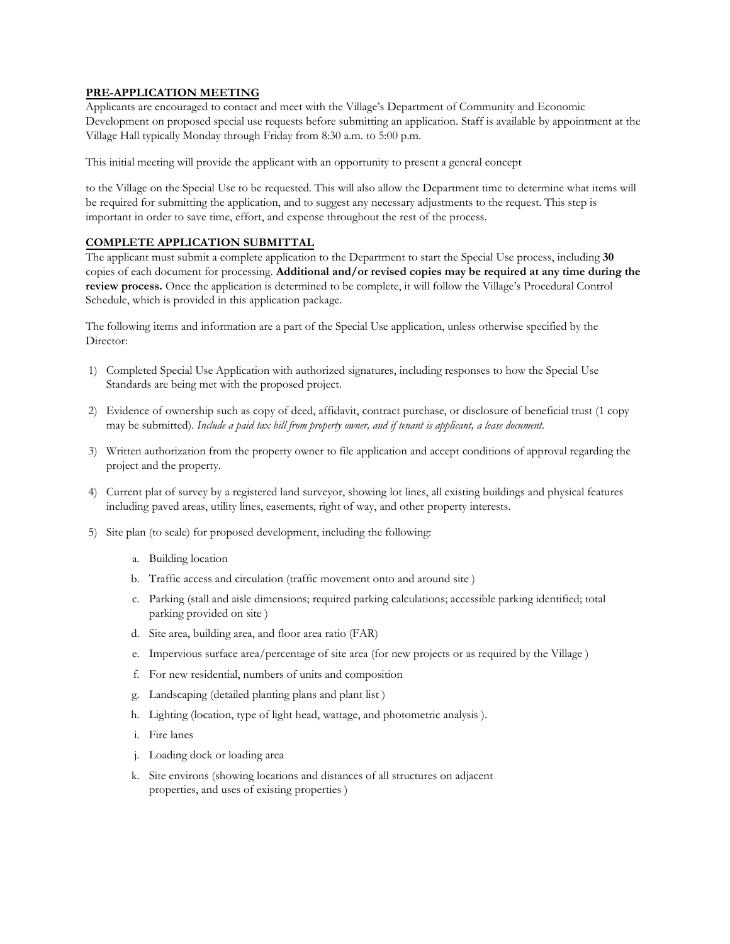#### **PRE-APPLICATION MEETING**

Applicants are encouraged to contact and meet with the Village's Department of Community and Economic Development on proposed special use requests before submitting an application. Staff is available by appointment at the Village Hall typically Monday through Friday from 8:30 a.m. to 5:00 p.m.

This initial meeting will provide the applicant with an opportunity to present a general concept

to the Village on the Special Use to be requested. This will also allow the Department time to determine what items will be required for submitting the application, and to suggest any necessary adjustments to the request. This step is important in order to save time, effort, and expense throughout the rest of the process.

#### **COMPLETE APPLICATION SUBMITTAL**

The applicant must submit a complete application to the Department to start the Special Use process, including **30** copies of each document for processing. **Additional and/or revised copies may be required at any time during the review process.** Once the application is determined to be complete, it will follow the Village's Procedural Control Schedule, which is provided in this application package.

The following items and information are a part of the Special Use application, unless otherwise specified by the Director:

- 1) Completed Special Use Application with authorized signatures, including responses to how the Special Use Standards are being met with the proposed project.
- 2) Evidence of ownership such as copy of deed, affidavit, contract purchase, or disclosure of beneficial trust (1 copy may be submitted). *Include a paid tax bill from property owner, and if tenant is applicant, a lease document*.
- 3) Written authorization from the property owner to file application and accept conditions of approval regarding the project and the property.
- 4) Current plat of survey by a registered land surveyor, showing lot lines, all existing buildings and physical features including paved areas, utility lines, easements, right of way, and other property interests.
- 5) Site plan (to scale) for proposed development, including the following:
	- a. Building location
	- b. Traffic access and circulation (traffic movement onto and around site )
	- c. Parking (stall and aisle dimensions; required parking calculations; accessible parking identified; total parking provided on site )
	- d. Site area, building area, and floor area ratio (FAR)
	- e. Impervious surface area/percentage of site area (for new projects or as required by the Village )
	- f. For new residential, numbers of units and composition
	- g. Landscaping (detailed planting plans and plant list )
	- h. Lighting (location, type of light head, wattage, and photometric analysis ).
	- i. Fire lanes
	- j. Loading dock or loading area
	- k. Site environs (showing locations and distances of all structures on adjacent properties, and uses of existing properties )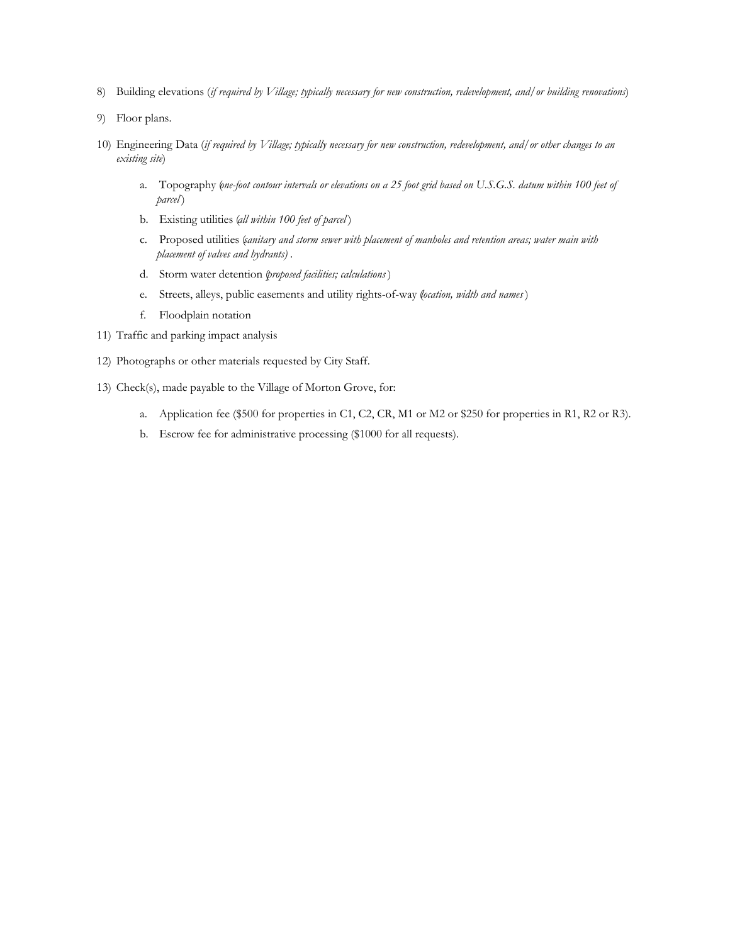- 8) Building elevations (*if required by Village; typically necessary for new construction, redevelopment, and/or building renovations*)
- 9) Floor plans.
- 10) Engineering Data (*if required by Village; typically necessary for new construction, redevelopment, and/or other changes to an existing site*)
	- a. Topography (*one-foot contour intervals or elevations on a 25 foot grid based on U.S.G.S. datum within 100 feet of parcel* )
	- b. Existing utilities (*all within 100 feet of parcel* )
	- c. Proposed utilities (*sanitary and storm sewer with placement of manholes and retention areas; water main with placement of valves and hydrants)* .
	- d. Storm water detention (*proposed facilities; calculations* )
	- e. Streets, alleys, public easements and utility rights-of-way (*location, width and names* )
	- f. Floodplain notation
- 11) Traffic and parking impact analysis
- 12) Photographs or other materials requested by City Staff.
- 13) Check(s), made payable to the Village of Morton Grove, for:
	- a. Application fee (\$500 for properties in C1, C2, CR, M1 or M2 or \$250 for properties in R1, R2 or R3).
	- b. Escrow fee for administrative processing (\$1000 for all requests).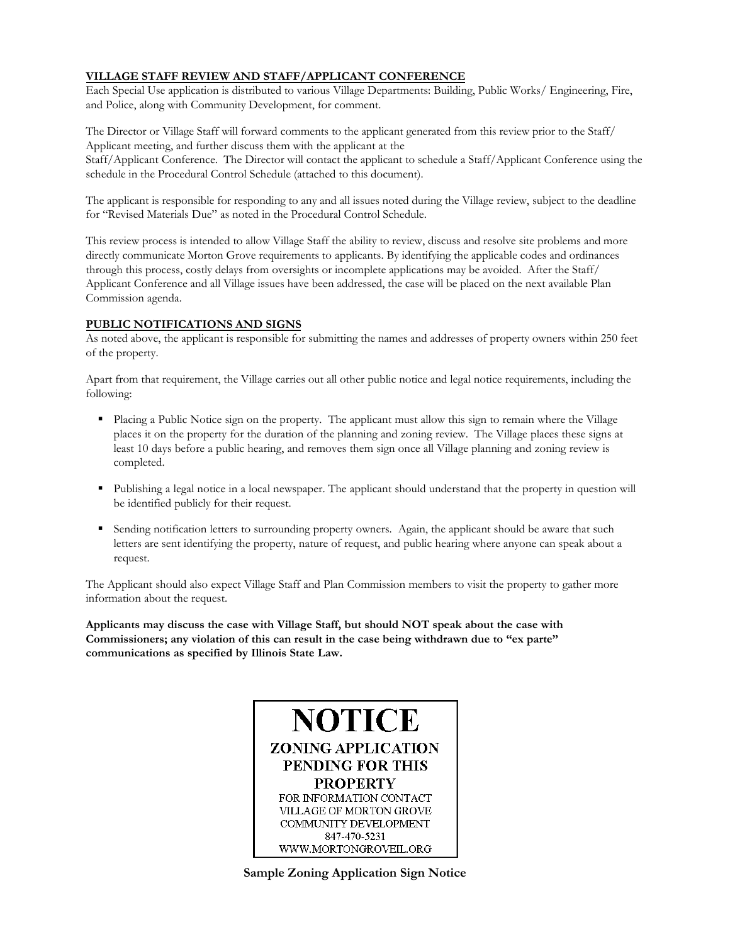#### **VILLAGE STAFF REVIEW AND STAFF/APPLICANT CONFERENCE**

Each Special Use application is distributed to various Village Departments: Building, Public Works/ Engineering, Fire, and Police, along with Community Development, for comment.

The Director or Village Staff will forward comments to the applicant generated from this review prior to the Staff/ Applicant meeting, and further discuss them with the applicant at the Staff/Applicant Conference. The Director will contact the applicant to schedule a Staff/Applicant Conference using the schedule in the Procedural Control Schedule (attached to this document).

The applicant is responsible for responding to any and all issues noted during the Village review, subject to the deadline for "Revised Materials Due" as noted in the Procedural Control Schedule.

This review process is intended to allow Village Staff the ability to review, discuss and resolve site problems and more directly communicate Morton Grove requirements to applicants. By identifying the applicable codes and ordinances through this process, costly delays from oversights or incomplete applications may be avoided. After the Staff/ Applicant Conference and all Village issues have been addressed, the case will be placed on the next available Plan Commission agenda.

#### **PUBLIC NOTIFICATIONS AND SIGNS**

As noted above, the applicant is responsible for submitting the names and addresses of property owners within 250 feet of the property.

Apart from that requirement, the Village carries out all other public notice and legal notice requirements, including the following:

- Placing a Public Notice sign on the property. The applicant must allow this sign to remain where the Village places it on the property for the duration of the planning and zoning review. The Village places these signs at least 10 days before a public hearing, and removes them sign once all Village planning and zoning review is completed.
- Publishing a legal notice in a local newspaper. The applicant should understand that the property in question will be identified publicly for their request.
- Sending notification letters to surrounding property owners. Again, the applicant should be aware that such letters are sent identifying the property, nature of request, and public hearing where anyone can speak about a request.

The Applicant should also expect Village Staff and Plan Commission members to visit the property to gather more information about the request.

**Applicants may discuss the case with Village Staff, but should NOT speak about the case with Commissioners; any violation of this can result in the case being withdrawn due to "ex parte" communications as specified by Illinois State Law.** 



**Sample Zoning Application Sign Notice**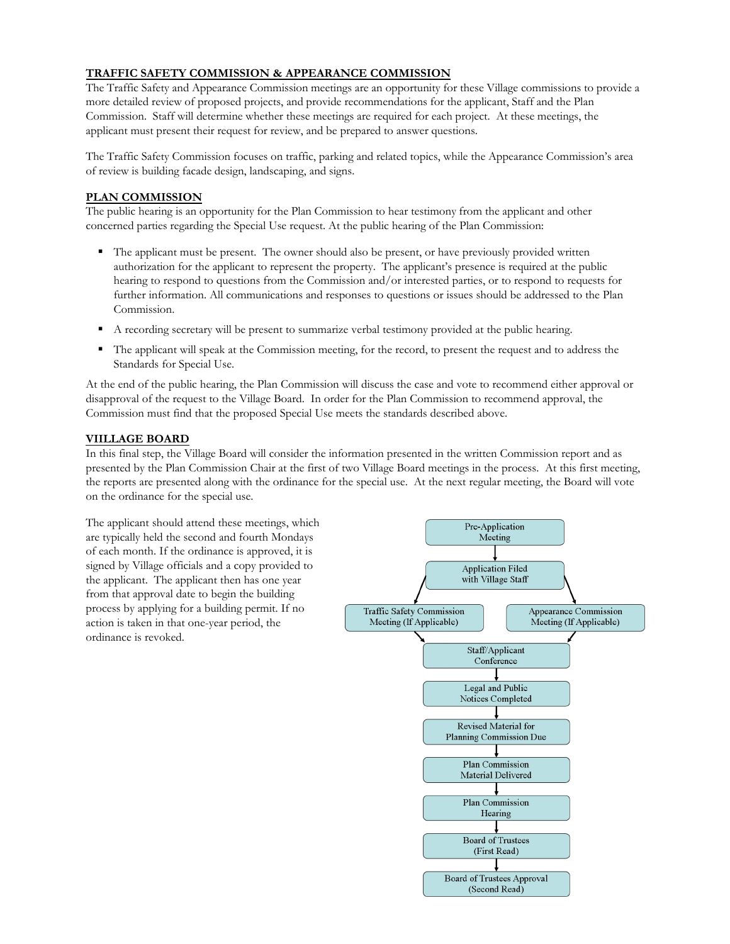#### **TRAFFIC SAFETY COMMISSION & APPEARANCE COMMISSION**

The Traffic Safety and Appearance Commission meetings are an opportunity for these Village commissions to provide a more detailed review of proposed projects, and provide recommendations for the applicant, Staff and the Plan Commission. Staff will determine whether these meetings are required for each project. At these meetings, the applicant must present their request for review, and be prepared to answer questions.

The Traffic Safety Commission focuses on traffic, parking and related topics, while the Appearance Commission's area of review is building facade design, landscaping, and signs.

#### **PLAN COMMISSION**

The public hearing is an opportunity for the Plan Commission to hear testimony from the applicant and other concerned parties regarding the Special Use request. At the public hearing of the Plan Commission:

- The applicant must be present. The owner should also be present, or have previously provided written authorization for the applicant to represent the property. The applicant's presence is required at the public hearing to respond to questions from the Commission and/or interested parties, or to respond to requests for further information. All communications and responses to questions or issues should be addressed to the Plan Commission.
- A recording secretary will be present to summarize verbal testimony provided at the public hearing.
- The applicant will speak at the Commission meeting, for the record, to present the request and to address the Standards for Special Use.

At the end of the public hearing, the Plan Commission will discuss the case and vote to recommend either approval or disapproval of the request to the Village Board. In order for the Plan Commission to recommend approval, the Commission must find that the proposed Special Use meets the standards described above.

#### **VIILLAGE BOARD**

In this final step, the Village Board will consider the information presented in the written Commission report and as presented by the Plan Commission Chair at the first of two Village Board meetings in the process. At this first meeting, the reports are presented along with the ordinance for the special use. At the next regular meeting, the Board will vote on the ordinance for the special use.

The applicant should attend these meetings, which Pre-Application are typically held the second and fourth Mondays Meeting of each month. If the ordinance is approved, it is signed by Village officials and a copy provided to **Application Filed** the applicant. The applicant then has one year with Village Staff from that approval date to begin the building process by applying for a building permit. If no **Traffic Safety Commission** Appearance Commission Meeting (If Applicable) Meeting (If Applicable) action is taken in that one-year period, the ordinance is revoked. Staff/Applicant Conference Legal and Public Notices Completed Revised Material for Planning Commission Due Plan Commission Material Delivered Plan Commission Hearing **Board of Trustees** (First Read) **Board of Trustees Approval** (Second Read)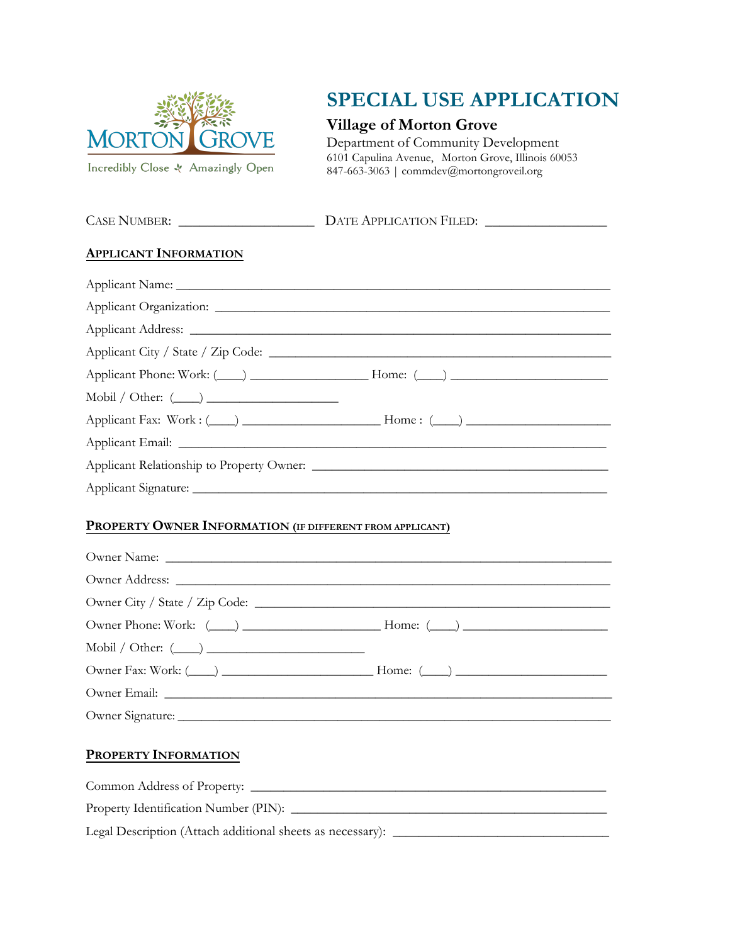

Incredibly Close - Amazingly Open

CASE NUMBER: \_\_\_\_\_\_\_\_\_\_\_\_\_\_\_\_\_\_\_ DATE APPLICATION FILED: \_\_\_\_\_\_\_\_\_\_\_\_\_\_\_\_\_

# **SPECIAL USE APPLICATION**

## **Village of Morton Grove**

Department of Community Development 6101 Capulina Avenue, Morton Grove, Illinois 60053 847-663-3063 | commdev@mortongroveil.org

| <b>APPLICANT INFORMATION</b>                                                     |  |
|----------------------------------------------------------------------------------|--|
|                                                                                  |  |
|                                                                                  |  |
|                                                                                  |  |
|                                                                                  |  |
| Applicant Phone: Work: (Comparison Library 2014) Home: (Comparison Library 2014) |  |
|                                                                                  |  |
|                                                                                  |  |
|                                                                                  |  |
|                                                                                  |  |
|                                                                                  |  |
| PROPERTY OWNER INFORMATION (IF DIFFERENT FROM APPLICANT)                         |  |
|                                                                                  |  |
|                                                                                  |  |
|                                                                                  |  |
|                                                                                  |  |
| Mobil / Other: $(\_\_\_\_$                                                       |  |
|                                                                                  |  |
|                                                                                  |  |
|                                                                                  |  |
| PROPERTY INFORMATION                                                             |  |
|                                                                                  |  |
|                                                                                  |  |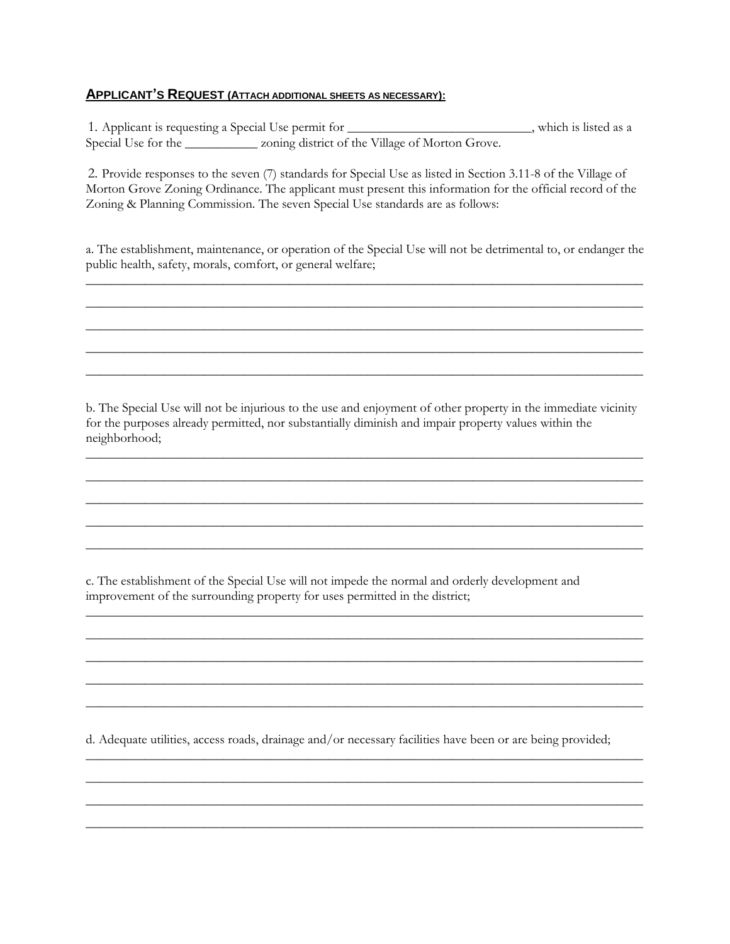#### **APPLICANT'S REQUEST (ATTACH ADDITIONAL SHEETS AS NECESSARY):**

1. Applicant is requesting a Special Use permit for \_\_\_\_\_\_\_\_\_\_\_\_\_\_\_\_\_\_\_\_\_\_\_\_\_\_\_, which is listed as a Special Use for the \_\_\_\_\_\_\_\_\_\_\_ zoning district of the Village of Morton Grove.

2. Provide responses to the seven (7) standards for Special Use as listed in Section 3.11-8 of the Village of Morton Grove Zoning Ordinance. The applicant must present this information for the official record of the Zoning & Planning Commission. The seven Special Use standards are as follows:

a. The establishment, maintenance, or operation of the Special Use will not be detrimental to, or endanger the public health, safety, morals, comfort, or general welfare; \_\_\_\_\_\_\_\_\_\_\_\_\_\_\_\_\_\_\_\_\_\_\_\_\_\_\_\_\_\_\_\_\_\_\_\_\_\_\_\_\_\_\_\_\_\_\_\_\_\_\_\_\_\_\_\_\_\_\_\_\_\_\_\_\_\_\_\_\_\_\_\_\_\_\_\_\_\_\_\_\_\_\_\_\_

 $\_$  ,  $\_$  ,  $\_$  ,  $\_$  ,  $\_$  ,  $\_$  ,  $\_$  ,  $\_$  ,  $\_$  ,  $\_$  ,  $\_$  ,  $\_$  ,  $\_$  ,  $\_$  ,  $\_$  ,  $\_$  ,  $\_$  ,  $\_$  ,  $\_$  ,  $\_$  ,  $\_$  ,  $\_$  ,  $\_$  ,  $\_$  ,  $\_$  ,  $\_$  ,  $\_$  ,  $\_$  ,  $\_$  ,  $\_$  ,  $\_$  ,  $\_$  ,  $\_$  ,  $\_$  ,  $\_$  ,  $\_$  ,  $\_$  , \_\_\_\_\_\_\_\_\_\_\_\_\_\_\_\_\_\_\_\_\_\_\_\_\_\_\_\_\_\_\_\_\_\_\_\_\_\_\_\_\_\_\_\_\_\_\_\_\_\_\_\_\_\_\_\_\_\_\_\_\_\_\_\_\_\_\_\_\_\_\_\_\_\_\_\_\_\_\_\_\_\_\_\_\_ \_\_\_\_\_\_\_\_\_\_\_\_\_\_\_\_\_\_\_\_\_\_\_\_\_\_\_\_\_\_\_\_\_\_\_\_\_\_\_\_\_\_\_\_\_\_\_\_\_\_\_\_\_\_\_\_\_\_\_\_\_\_\_\_\_\_\_\_\_\_\_\_\_\_\_\_\_\_\_\_\_\_\_\_\_  $\_$  ,  $\_$  ,  $\_$  ,  $\_$  ,  $\_$  ,  $\_$  ,  $\_$  ,  $\_$  ,  $\_$  ,  $\_$  ,  $\_$  ,  $\_$  ,  $\_$  ,  $\_$  ,  $\_$  ,  $\_$  ,  $\_$  ,  $\_$  ,  $\_$  ,  $\_$  ,  $\_$  ,  $\_$  ,  $\_$  ,  $\_$  ,  $\_$  ,  $\_$  ,  $\_$  ,  $\_$  ,  $\_$  ,  $\_$  ,  $\_$  ,  $\_$  ,  $\_$  ,  $\_$  ,  $\_$  ,  $\_$  ,  $\_$  ,

b. The Special Use will not be injurious to the use and enjoyment of other property in the immediate vicinity for the purposes already permitted, nor substantially diminish and impair property values within the neighborhood;

\_\_\_\_\_\_\_\_\_\_\_\_\_\_\_\_\_\_\_\_\_\_\_\_\_\_\_\_\_\_\_\_\_\_\_\_\_\_\_\_\_\_\_\_\_\_\_\_\_\_\_\_\_\_\_\_\_\_\_\_\_\_\_\_\_\_\_\_\_\_\_\_\_\_\_\_\_\_\_\_\_\_\_\_\_  $\_$  ,  $\_$  ,  $\_$  ,  $\_$  ,  $\_$  ,  $\_$  ,  $\_$  ,  $\_$  ,  $\_$  ,  $\_$  ,  $\_$  ,  $\_$  ,  $\_$  ,  $\_$  ,  $\_$  ,  $\_$  ,  $\_$  ,  $\_$  ,  $\_$  ,  $\_$  ,  $\_$  ,  $\_$  ,  $\_$  ,  $\_$  ,  $\_$  ,  $\_$  ,  $\_$  ,  $\_$  ,  $\_$  ,  $\_$  ,  $\_$  ,  $\_$  ,  $\_$  ,  $\_$  ,  $\_$  ,  $\_$  ,  $\_$  , \_\_\_\_\_\_\_\_\_\_\_\_\_\_\_\_\_\_\_\_\_\_\_\_\_\_\_\_\_\_\_\_\_\_\_\_\_\_\_\_\_\_\_\_\_\_\_\_\_\_\_\_\_\_\_\_\_\_\_\_\_\_\_\_\_\_\_\_\_\_\_\_\_\_\_\_\_\_\_\_\_\_\_\_\_  $\_$  ,  $\_$  ,  $\_$  ,  $\_$  ,  $\_$  ,  $\_$  ,  $\_$  ,  $\_$  ,  $\_$  ,  $\_$  ,  $\_$  ,  $\_$  ,  $\_$  ,  $\_$  ,  $\_$  ,  $\_$  ,  $\_$  ,  $\_$  ,  $\_$  ,  $\_$  ,  $\_$  ,  $\_$  ,  $\_$  ,  $\_$  ,  $\_$  ,  $\_$  ,  $\_$  ,  $\_$  ,  $\_$  ,  $\_$  ,  $\_$  ,  $\_$  ,  $\_$  ,  $\_$  ,  $\_$  ,  $\_$  ,  $\_$  ,  $\_$  ,  $\_$  ,  $\_$  ,  $\_$  ,  $\_$  ,  $\_$  ,  $\_$  ,  $\_$  ,  $\_$  ,  $\_$  ,  $\_$  ,  $\_$  ,  $\_$  ,  $\_$  ,  $\_$  ,  $\_$  ,  $\_$  ,  $\_$  ,  $\_$  ,  $\_$  ,  $\_$  ,  $\_$  ,  $\_$  ,  $\_$  ,  $\_$  ,  $\_$  ,  $\_$  ,  $\_$  ,  $\_$  ,  $\_$  ,  $\_$  ,  $\_$  ,  $\_$  ,  $\_$  ,  $\_$  ,  $\_$  ,  $\_$  ,

\_\_\_\_\_\_\_\_\_\_\_\_\_\_\_\_\_\_\_\_\_\_\_\_\_\_\_\_\_\_\_\_\_\_\_\_\_\_\_\_\_\_\_\_\_\_\_\_\_\_\_\_\_\_\_\_\_\_\_\_\_\_\_\_\_\_\_\_\_\_\_\_\_\_\_\_\_\_\_\_\_\_\_\_\_  $\_$  ,  $\_$  ,  $\_$  ,  $\_$  ,  $\_$  ,  $\_$  ,  $\_$  ,  $\_$  ,  $\_$  ,  $\_$  ,  $\_$  ,  $\_$  ,  $\_$  ,  $\_$  ,  $\_$  ,  $\_$  ,  $\_$  ,  $\_$  ,  $\_$  ,  $\_$  ,  $\_$  ,  $\_$  ,  $\_$  ,  $\_$  ,  $\_$  ,  $\_$  ,  $\_$  ,  $\_$  ,  $\_$  ,  $\_$  ,  $\_$  ,  $\_$  ,  $\_$  ,  $\_$  ,  $\_$  ,  $\_$  ,  $\_$  , \_\_\_\_\_\_\_\_\_\_\_\_\_\_\_\_\_\_\_\_\_\_\_\_\_\_\_\_\_\_\_\_\_\_\_\_\_\_\_\_\_\_\_\_\_\_\_\_\_\_\_\_\_\_\_\_\_\_\_\_\_\_\_\_\_\_\_\_\_\_\_\_\_\_\_\_\_\_\_\_\_\_\_\_\_ \_\_\_\_\_\_\_\_\_\_\_\_\_\_\_\_\_\_\_\_\_\_\_\_\_\_\_\_\_\_\_\_\_\_\_\_\_\_\_\_\_\_\_\_\_\_\_\_\_\_\_\_\_\_\_\_\_\_\_\_\_\_\_\_\_\_\_\_\_\_\_\_\_\_\_\_\_\_\_\_\_\_\_\_\_ \_\_\_\_\_\_\_\_\_\_\_\_\_\_\_\_\_\_\_\_\_\_\_\_\_\_\_\_\_\_\_\_\_\_\_\_\_\_\_\_\_\_\_\_\_\_\_\_\_\_\_\_\_\_\_\_\_\_\_\_\_\_\_\_\_\_\_\_\_\_\_\_\_\_\_\_\_\_\_\_\_\_\_\_\_

c. The establishment of the Special Use will not impede the normal and orderly development and improvement of the surrounding property for uses permitted in the district;

d. Adequate utilities, access roads, drainage and/or necessary facilities have been or are being provided;

 $\_$  ,  $\_$  ,  $\_$  ,  $\_$  ,  $\_$  ,  $\_$  ,  $\_$  ,  $\_$  ,  $\_$  ,  $\_$  ,  $\_$  ,  $\_$  ,  $\_$  ,  $\_$  ,  $\_$  ,  $\_$  ,  $\_$  ,  $\_$  ,  $\_$  ,  $\_$  ,  $\_$  ,  $\_$  ,  $\_$  ,  $\_$  ,  $\_$  ,  $\_$  ,  $\_$  ,  $\_$  ,  $\_$  ,  $\_$  ,  $\_$  ,  $\_$  ,  $\_$  ,  $\_$  ,  $\_$  ,  $\_$  ,  $\_$  , \_\_\_\_\_\_\_\_\_\_\_\_\_\_\_\_\_\_\_\_\_\_\_\_\_\_\_\_\_\_\_\_\_\_\_\_\_\_\_\_\_\_\_\_\_\_\_\_\_\_\_\_\_\_\_\_\_\_\_\_\_\_\_\_\_\_\_\_\_\_\_\_\_\_\_\_\_\_\_\_\_\_\_\_\_ \_\_\_\_\_\_\_\_\_\_\_\_\_\_\_\_\_\_\_\_\_\_\_\_\_\_\_\_\_\_\_\_\_\_\_\_\_\_\_\_\_\_\_\_\_\_\_\_\_\_\_\_\_\_\_\_\_\_\_\_\_\_\_\_\_\_\_\_\_\_\_\_\_\_\_\_\_\_\_\_\_\_\_\_\_ \_\_\_\_\_\_\_\_\_\_\_\_\_\_\_\_\_\_\_\_\_\_\_\_\_\_\_\_\_\_\_\_\_\_\_\_\_\_\_\_\_\_\_\_\_\_\_\_\_\_\_\_\_\_\_\_\_\_\_\_\_\_\_\_\_\_\_\_\_\_\_\_\_\_\_\_\_\_\_\_\_\_\_\_\_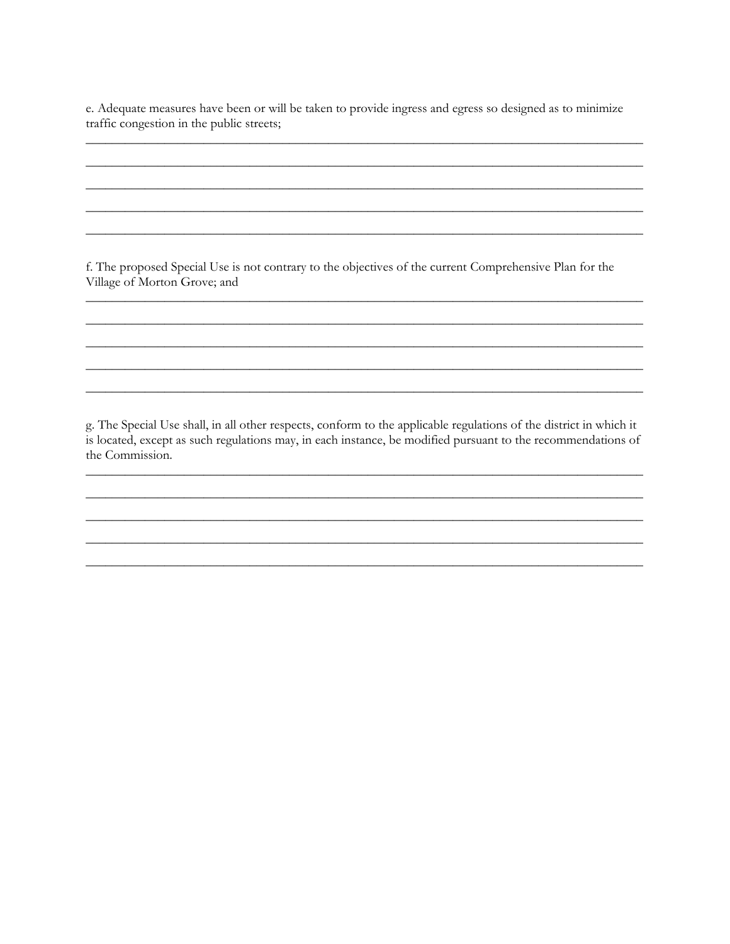e. Adequate measures have been or will be taken to provide ingress and egress so designed as to minimize traffic congestion in the public streets;

f. The proposed Special Use is not contrary to the objectives of the current Comprehensive Plan for the Village of Morton Grove; and

g. The Special Use shall, in all other respects, conform to the applicable regulations of the district in which it is located, except as such regulations may, in each instance, be modified pursuant to the recommendations of the Commission.